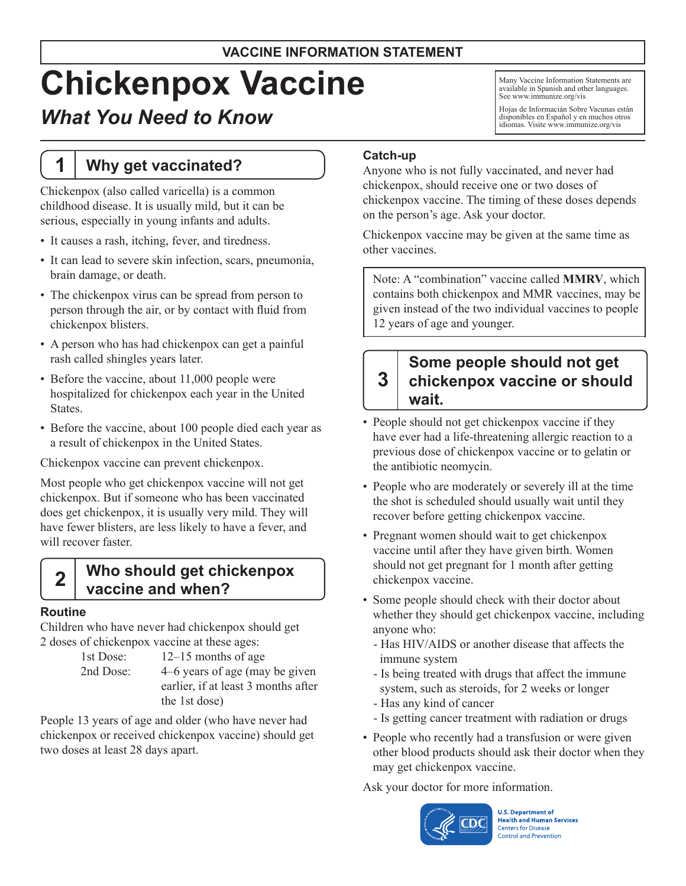# **Chickenpox Vaccine**

# *What You Need to Know*

# **1 Why get vaccinated?**

Chickenpox (also called varicella) is a common childhood disease. It is usually mild, but it can be serious, especially in young infants and adults.

- It causes a rash, itching, fever, and tiredness.
- It can lead to severe skin infection, scars, pneumonia, brain damage, or death.
- The chickenpox virus can be spread from person to person through the air, or by contact with fluid from chickenpox blisters.
- A person who has had chickenpox can get a painful rash called shingles years later.
- Before the vaccine, about 11,000 people were hospitalized for chickenpox each year in the United States.
- Before the vaccine, about 100 people died each year as a result of chickenpox in the United States.

Chickenpox vaccine can prevent chickenpox.

Most people who get chickenpox vaccine will not get chickenpox. But if someone who has been vaccinated does get chickenpox, it is usually very mild. They will have fewer blisters, are less likely to have a fever, and will recover faster.

# **2 Who should get chickenpox vaccine and when?**

#### **Routine**

Children who have never had chickenpox should get 2 doses of chickenpox vaccine at these ages:

1st Dose: 12–15 months of age 2nd Dose: 4–6 years of age (may be given earlier, if at least 3 months after the 1st dose)

People 13 years of age and older (who have never had chickenpox or received chickenpox vaccine) should get two doses at least 28 days apart.

**Catch-up**

Anyone who is not fully vaccinated, and never had chickenpox, should receive one or two doses of chickenpox vaccine. The timing of these doses depends on the person's age. Ask your doctor.

Many Vaccine Information Statements are available in Spanish and other languages. See [www.immunize.org/vis](http://www.immunize.org/vis)

Hojas de Informacián Sobre Vacunas están disponibles en Español y en muchos otros idiomas. Visite [www.immunize.org/vis](http://www.immunize.org/vis)

Chickenpox vaccine may be given at the same time as other vaccines.

Note: A "combination" vaccine called **MMRV**, which contains both chickenpox and MMR vaccines, may be given instead of the two individual vaccines to people 12 years of age and younger.

#### **3 Some people should not get chickenpox vaccine or should wait.**

- People should not get chickenpox vaccine if they have ever had a life-threatening allergic reaction to a previous dose of chickenpox vaccine or to gelatin or the antibiotic neomycin.
- People who are moderately or severely ill at the time the shot is scheduled should usually wait until they recover before getting chickenpox vaccine.
- • Pregnant women should wait to get chickenpox vaccine until after they have given birth. Women should not get pregnant for 1 month after getting chickenpox vaccine.
- Some people should check with their doctor about whether they should get chickenpox vaccine, including anyone who:
	- Has HIV/AIDS or another disease that affects the immune system
	- Is being treated with drugs that affect the immune system, such as steroids, for 2 weeks or longer
	- Has any kind of cancer
	- Is getting cancer treatment with radiation or drugs
- People who recently had a transfusion or were given other blood products should ask their doctor when they may get chickenpox vaccine.

Ask your doctor for more information.



**U.S. Department of Health and Human Services Centers for Disease Control and Prevention**